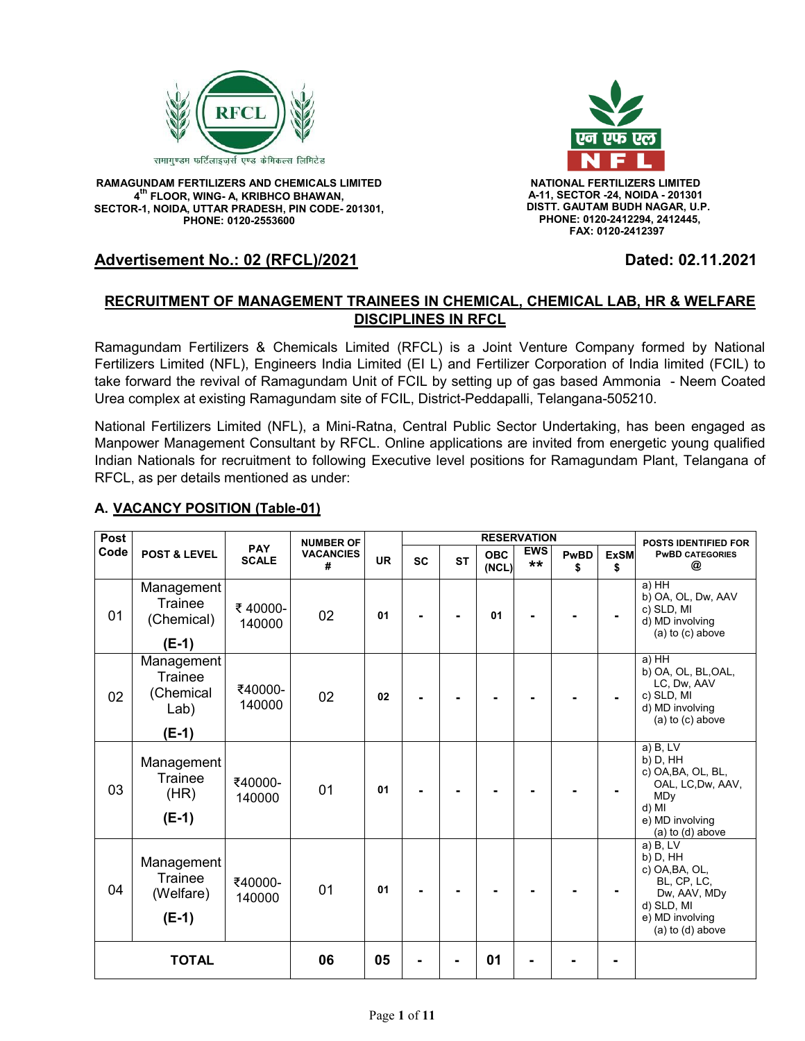

**RAMAGUNDAM FERTILIZERS AND CHEMICALS LIMITED NATIONAL FERTILIZERS LIMITED 4 th FLOOR, WING- A, KRIBHCO BHAWAN, SECTOR-1, NOIDA, UTTAR PRADESH, PIN CODE- 201301, PHONE: 0120-2553600**



 **A-11, SECTOR -24, NOIDA - 201301 DISTT. GAUTAM BUDH NAGAR, U.P. PHONE: 0120-2412294, 2412445, FAX: 0120-2412397**

# **Advertisement No.: 02 (RFCL)/2021 Dated: 02.11.2021**

# **RECRUITMENT OF MANAGEMENT TRAINEES IN CHEMICAL, CHEMICAL LAB, HR & WELFARE DISCIPLINES IN RFCL**

Ramagundam Fertilizers & Chemicals Limited (RFCL) is a Joint Venture Company formed by National Fertilizers Limited (NFL), Engineers India Limited (EI L) and Fertilizer Corporation of India limited (FCIL) to take forward the revival of Ramagundam Unit of FCIL by setting up of gas based Ammonia - Neem Coated Urea complex at existing Ramagundam site of FCIL, District-Peddapalli, Telangana-505210.

National Fertilizers Limited (NFL), a Mini-Ratna, Central Public Sector Undertaking, has been engaged as Manpower Management Consultant by RFCL. Online applications are invited from energetic young qualified Indian Nationals for recruitment to following Executive level positions for Ramagundam Plant, Telangana of RFCL, as per details mentioned as under:

# **A. VACANCY POSITION (Table-01)**

| Post | <b>POST &amp; LEVEL</b>                               | <b>PAY</b><br><b>SCALE</b> | <b>NUMBER OF</b><br><b>VACANCIES</b><br># |           | <b>RESERVATION</b> |           |                     |                    | <b>POSTS IDENTIFIED FOR</b> |                   |                                                                                                                                 |
|------|-------------------------------------------------------|----------------------------|-------------------------------------------|-----------|--------------------|-----------|---------------------|--------------------|-----------------------------|-------------------|---------------------------------------------------------------------------------------------------------------------------------|
| Code |                                                       |                            |                                           | <b>UR</b> | <b>SC</b>          | <b>ST</b> | <b>OBC</b><br>(NCL) | <b>EWS</b><br>$**$ | <b>PwBD</b><br>\$           | <b>ExSM</b><br>\$ | <b>PWBD CATEGORIES</b><br>@                                                                                                     |
| 01   | Management<br>Trainee<br>(Chemical)<br>$(E-1)$        | ₹40000-<br>140000          | 02                                        | 01        |                    |           | 01                  |                    |                             |                   | $a)$ HH<br>b) OA, OL, Dw, AAV<br>c) SLD, MI<br>d) MD involving<br>$(a)$ to $(c)$ above                                          |
| 02   | Management<br>Trainee<br>(Chemical<br>Lab)<br>$(E-1)$ | ₹40000-<br>140000          | 02                                        | 02        |                    |           |                     |                    |                             |                   | $a)$ HH<br>b) OA, OL, BL, OAL,<br>LC, Dw, AAV<br>c) SLD, MI<br>d) MD involving<br>$(a)$ to $(c)$ above                          |
| 03   | Management<br>Trainee<br>(HR)<br>$(E-1)$              | ₹40000-<br>140000          | 01                                        | 01        |                    |           |                     |                    |                             |                   | $a)$ B, LV<br>b) D, HH<br>c) OA, BA, OL, BL,<br>OAL, LC, Dw, AAV,<br><b>MDy</b><br>d) MI<br>e) MD involving<br>(a) to (d) above |
| 04   | Management<br>Trainee<br>(Welfare)<br>$(E-1)$         | ₹40000-<br>140000          | 01                                        | 01        |                    |           |                     |                    |                             |                   | a) B. LV<br>b) D, HH<br>c) OA, BA, OL,<br>BL, CP, LC,<br>Dw, AAV, MDy<br>d) SLD, MI<br>e) MD involving<br>(a) to (d) above      |
|      | <b>TOTAL</b>                                          |                            | 06                                        | 05        |                    |           | 01                  |                    |                             |                   |                                                                                                                                 |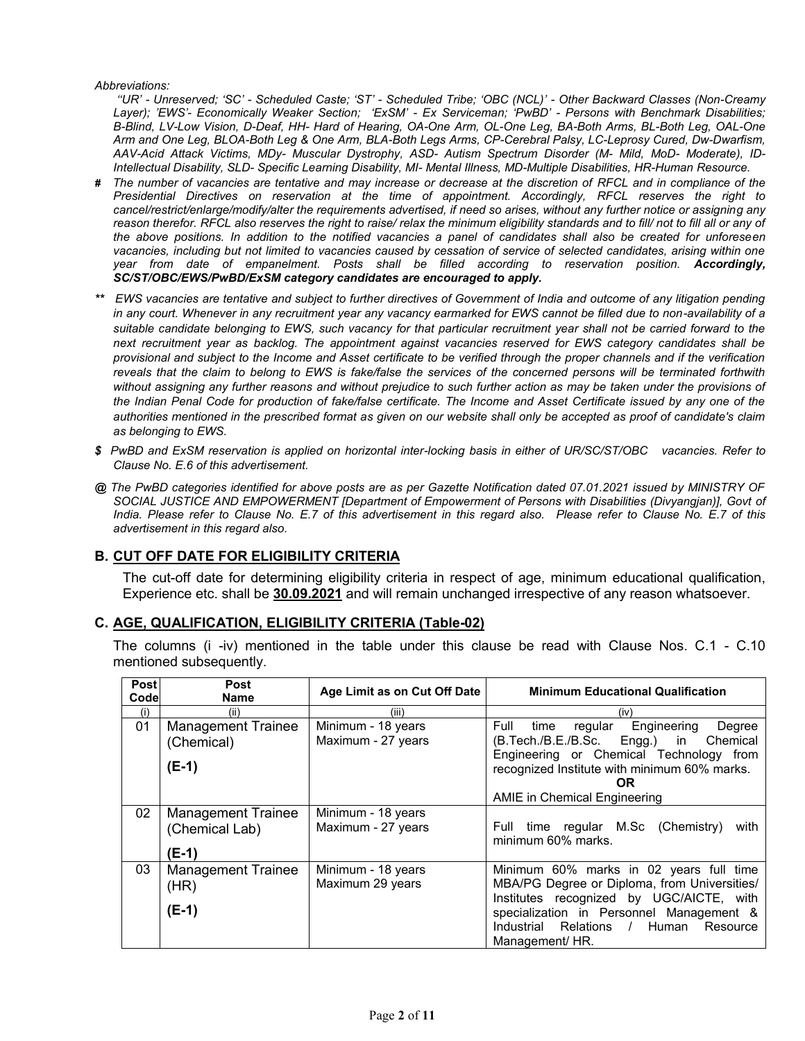#### *Abbreviations:*

*''UR' - Unreserved; 'SC' - Scheduled Caste; 'ST' - Scheduled Tribe; 'OBC (NCL)' - Other Backward Classes (Non-Creamy Layer); 'EWS'- Economically Weaker Section; 'ExSM' - Ex Serviceman; 'PwBD' - Persons with Benchmark Disabilities; B-Blind, LV-Low Vision, D-Deaf, HH- Hard of Hearing, OA-One Arm, OL-One Leg, BA-Both Arms, BL-Both Leg, OAL-One Arm and One Leg, BLOA-Both Leg & One Arm, BLA-Both Legs Arms, CP-Cerebral Palsy, LC-Leprosy Cured, Dw-Dwarfism, AAV-Acid Attack Victims, MDy- Muscular Dystrophy, ASD- Autism Spectrum Disorder (M- Mild, MoD- Moderate), ID-Intellectual Disability, SLD- Specific Learning Disability, MI- Mental Illness, MD-Multiple Disabilities, HR-Human Resource.*

- *# The number of vacancies are tentative and may increase or decrease at the discretion of RFCL and in compliance of the Presidential Directives on reservation at the time of appointment. Accordingly, RFCL reserves the right to cancel/restrict/enlarge/modify/alter the requirements advertised, if need so arises, without any further notice or assigning any*  reason therefor. RFCL also reserves the right to raise/ relax the minimum eligibility standards and to fill/ not to fill all or any of *the above positions. In addition to the notified vacancies a panel of candidates shall also be created for unforeseen*  vacancies, including but not limited to vacancies caused by cessation of service of selected candidates, arising within one *year from date of empanelment. Posts shall be filled according to reservation position. Accordingly, SC/ST/OBC/EWS/PwBD/ExSM category candidates are encouraged to apply.*
- *\*\* EWS vacancies are tentative and subject to further directives of Government of India and outcome of any litigation pending in any court. Whenever in any recruitment year any vacancy earmarked for EWS cannot be filled due to non-availability of a suitable candidate belonging to EWS, such vacancy for that particular recruitment year shall not be carried forward to the next recruitment year as backlog. The appointment against vacancies reserved for EWS category candidates shall be provisional and subject to the Income and Asset certificate to be verified through the proper channels and if the verification reveals that the claim to belong to EWS is fake/false the services of the concerned persons will be terminated forthwith without assigning any further reasons and without prejudice to such further action as may be taken under the provisions of the Indian Penal Code for production of fake/false certificate. The Income and Asset Certificate issued by any one of the authorities mentioned in the prescribed format as given on our website shall only be accepted as proof of candidate's claim as belonging to EWS.*
- *\$ PwBD and ExSM reservation is applied on horizontal inter-locking basis in either of UR/SC/ST/OBC vacancies. Refer to Clause No. E.6 of this advertisement.*
- *@ The PwBD categories identified for above posts are as per Gazette Notification dated 07.01.2021 issued by MINISTRY OF SOCIAL JUSTICE AND EMPOWERMENT [Department of Empowerment of Persons with Disabilities (Divyangjan)], Govt of India. Please refer to Clause No. E.7 of this advertisement in this regard also. Please refer to Clause No. E.7 of this advertisement in this regard also.*

# **B. CUT OFF DATE FOR ELIGIBILITY CRITERIA**

The cut-off date for determining eligibility criteria in respect of age, minimum educational qualification, Experience etc. shall be **30.09.2021** and will remain unchanged irrespective of any reason whatsoever.

## **C. AGE, QUALIFICATION, ELIGIBILITY CRITERIA (Table-02)**

The columns (i -iv) mentioned in the table under this clause be read with Clause Nos. C.1 - C.10 mentioned subsequently.

| <b>Post</b><br>Code | <b>Post</b><br><b>Name</b>                           | Age Limit as on Cut Off Date             | <b>Minimum Educational Qualification</b>                                                                                                                                                                                                          |
|---------------------|------------------------------------------------------|------------------------------------------|---------------------------------------------------------------------------------------------------------------------------------------------------------------------------------------------------------------------------------------------------|
| (i)                 | (ii)                                                 | (iii)                                    | (iv)                                                                                                                                                                                                                                              |
| 01                  | <b>Management Trainee</b><br>(Chemical)<br>$(E-1)$   | Minimum - 18 years<br>Maximum - 27 years | Engineering<br>Full<br>regular<br>Degree<br>time<br>(B.Tech./B.E./B.Sc. Engg.) in Chemical<br>Engineering or Chemical Technology from<br>recognized Institute with minimum 60% marks.<br><b>OR</b><br>AMIE in Chemical Engineering                |
| 02                  | <b>Management Trainee</b><br>(Chemical Lab)<br>(E-1) | Minimum - 18 years<br>Maximum - 27 years | Full time regular M.Sc (Chemistry)<br>with<br>minimum 60% marks.                                                                                                                                                                                  |
| 03                  | <b>Management Trainee</b><br>(HR)<br>$(E-1)$         | Minimum - 18 years<br>Maximum 29 years   | Minimum 60% marks in 02 years full time<br>MBA/PG Degree or Diploma, from Universities/<br>Institutes recognized by UGC/AICTE, with<br>specialization in Personnel Management &<br>Industrial Relations<br>/ Human<br>Resource<br>Management/ HR. |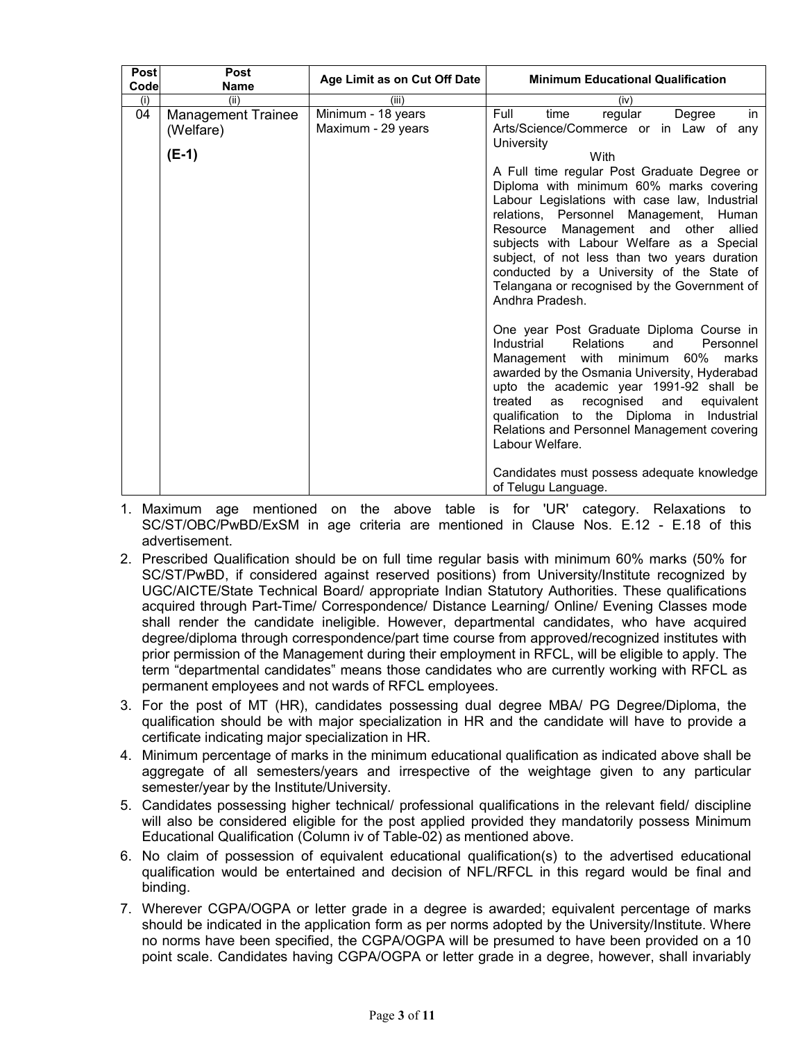| <b>Post</b><br>Code | <b>Post</b><br>Name       | Age Limit as on Cut Off Date | <b>Minimum Educational Qualification</b>                                                                                                                                                                                                                                                                                                                                                                                                                                      |
|---------------------|---------------------------|------------------------------|-------------------------------------------------------------------------------------------------------------------------------------------------------------------------------------------------------------------------------------------------------------------------------------------------------------------------------------------------------------------------------------------------------------------------------------------------------------------------------|
| (i)                 | (ii)                      | (iii)                        | (iv)                                                                                                                                                                                                                                                                                                                                                                                                                                                                          |
| 04                  | <b>Management Trainee</b> | Minimum - 18 years           | in<br>Full<br>time<br>regular<br>Degree                                                                                                                                                                                                                                                                                                                                                                                                                                       |
|                     | (Welfare)                 | Maximum - 29 years           | Arts/Science/Commerce or in Law of any                                                                                                                                                                                                                                                                                                                                                                                                                                        |
|                     |                           |                              | University                                                                                                                                                                                                                                                                                                                                                                                                                                                                    |
|                     | $(E-1)$                   |                              | With                                                                                                                                                                                                                                                                                                                                                                                                                                                                          |
|                     |                           |                              | A Full time regular Post Graduate Degree or<br>Diploma with minimum 60% marks covering<br>Labour Legislations with case law, Industrial<br>relations, Personnel Management, Human<br>Resource Management and other<br>allied<br>subjects with Labour Welfare as a Special<br>subject, of not less than two years duration<br>conducted by a University of the State of<br>Telangana or recognised by the Government of<br>Andhra Pradesh.                                     |
|                     |                           |                              | One year Post Graduate Diploma Course in<br>Industrial<br><b>Relations</b><br>and<br>Personnel<br>Management with minimum<br>60%<br>marks<br>awarded by the Osmania University, Hyderabad<br>upto the academic year 1991-92 shall be<br>treated<br>recognised<br>and<br>equivalent<br>as<br>qualification to the Diploma in Industrial<br>Relations and Personnel Management covering<br>Labour Welfare.<br>Candidates must possess adequate knowledge<br>of Telugu Language. |

- 1. Maximum age mentioned on the above table is for 'UR' category. Relaxations to SC/ST/OBC/PwBD/ExSM in age criteria are mentioned in Clause Nos. E.12 - E.18 of this advertisement.
- 2. Prescribed Qualification should be on full time regular basis with minimum 60% marks (50% for SC/ST/PwBD, if considered against reserved positions) from University/Institute recognized by UGC/AICTE/State Technical Board/ appropriate Indian Statutory Authorities. These qualifications acquired through Part-Time/ Correspondence/ Distance Learning/ Online/ Evening Classes mode shall render the candidate ineligible. However, departmental candidates, who have acquired degree/diploma through correspondence/part time course from approved/recognized institutes with prior permission of the Management during their employment in RFCL, will be eligible to apply. The term "departmental candidates" means those candidates who are currently working with RFCL as permanent employees and not wards of RFCL employees.
- 3. For the post of MT (HR), candidates possessing dual degree MBA/ PG Degree/Diploma, the qualification should be with major specialization in HR and the candidate will have to provide a certificate indicating major specialization in HR.
- 4. Minimum percentage of marks in the minimum educational qualification as indicated above shall be aggregate of all semesters/years and irrespective of the weightage given to any particular semester/year by the Institute/University.
- 5. Candidates possessing higher technical/ professional qualifications in the relevant field/ discipline will also be considered eligible for the post applied provided they mandatorily possess Minimum Educational Qualification (Column iv of Table-02) as mentioned above.
- 6. No claim of possession of equivalent educational qualification(s) to the advertised educational qualification would be entertained and decision of NFL/RFCL in this regard would be final and binding.
- 7. Wherever CGPA/OGPA or letter grade in a degree is awarded; equivalent percentage of marks should be indicated in the application form as per norms adopted by the University/Institute. Where no norms have been specified, the CGPA/OGPA will be presumed to have been provided on a 10 point scale. Candidates having CGPA/OGPA or letter grade in a degree, however, shall invariably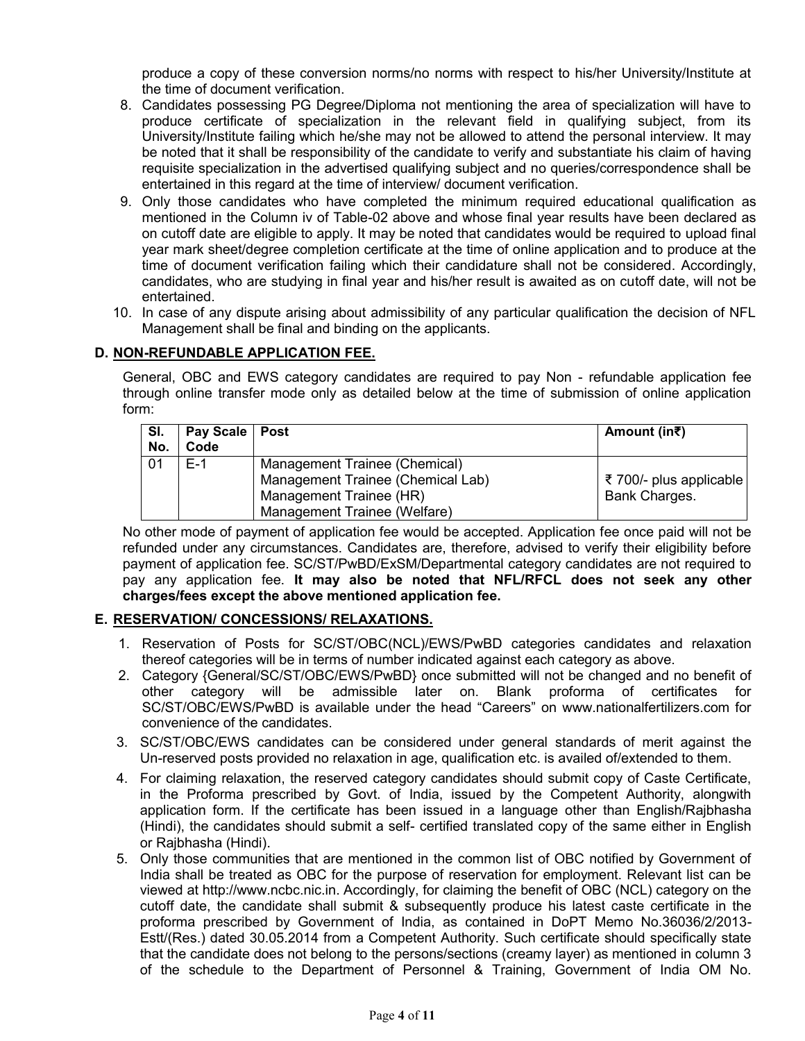produce a copy of these conversion norms/no norms with respect to his/her University/Institute at the time of document verification.

- 8. Candidates possessing PG Degree/Diploma not mentioning the area of specialization will have to produce certificate of specialization in the relevant field in qualifying subject, from its University/Institute failing which he/she may not be allowed to attend the personal interview. It may be noted that it shall be responsibility of the candidate to verify and substantiate his claim of having requisite specialization in the advertised qualifying subject and no queries/correspondence shall be entertained in this regard at the time of interview/ document verification.
- 9. Only those candidates who have completed the minimum required educational qualification as mentioned in the Column iv of Table-02 above and whose final year results have been declared as on cutoff date are eligible to apply. It may be noted that candidates would be required to upload final year mark sheet/degree completion certificate at the time of online application and to produce at the time of document verification failing which their candidature shall not be considered. Accordingly, candidates, who are studying in final year and his/her result is awaited as on cutoff date, will not be entertained.
- 10. In case of any dispute arising about admissibility of any particular qualification the decision of NFL Management shall be final and binding on the applicants.

# **D. NON-REFUNDABLE APPLICATION FEE.**

General, OBC and EWS category candidates are required to pay Non - refundable application fee through online transfer mode only as detailed below at the time of submission of online application form:

| SI.<br>No. | Pay Scale   Post<br>Code |                                                                    | Amount (in₹)            |
|------------|--------------------------|--------------------------------------------------------------------|-------------------------|
| 01         | $F-1$                    | Management Trainee (Chemical)<br>Management Trainee (Chemical Lab) | ₹ 700/- plus applicable |
|            |                          | Management Trainee (HR)<br>Management Trainee (Welfare)            | <b>Bank Charges.</b>    |

No other mode of payment of application fee would be accepted. Application fee once paid will not be refunded under any circumstances. Candidates are, therefore, advised to verify their eligibility before payment of application fee. SC/ST/PwBD/ExSM/Departmental category candidates are not required to pay any application fee. **It may also be noted that NFL/RFCL does not seek any other charges/fees except the above mentioned application fee.**

## **E. RESERVATION/ CONCESSIONS/ RELAXATIONS.**

- 1. Reservation of Posts for SC/ST/OBC(NCL)/EWS/PwBD categories candidates and relaxation thereof categories will be in terms of number indicated against each category as above.
- 2. Category {General/SC/ST/OBC/EWS/PwBD} once submitted will not be changed and no benefit of other category will be admissible later on. Blank proforma of certificates for SC/ST/OBC/EWS/PwBD is available under the head "Careers" on www.nationalfertilizers.com for convenience of the candidates.
- 3. SC/ST/OBC/EWS candidates can be considered under general standards of merit against the Un-reserved posts provided no relaxation in age, qualification etc. is availed of/extended to them.
- 4. For claiming relaxation, the reserved category candidates should submit copy of Caste Certificate, in the Proforma prescribed by Govt. of India, issued by the Competent Authority, alongwith application form. If the certificate has been issued in a language other than English/Rajbhasha (Hindi), the candidates should submit a self- certified translated copy of the same either in English or Rajbhasha (Hindi).
- 5. Only those communities that are mentioned in the common list of OBC notified by Government of India shall be treated as OBC for the purpose of reservation for employment. Relevant list can be viewed at http://www.ncbc.nic.in. Accordingly, for claiming the benefit of OBC (NCL) category on the cutoff date, the candidate shall submit & subsequently produce his latest caste certificate in the proforma prescribed by Government of India, as contained in DoPT Memo No.36036/2/2013- Estt/(Res.) dated 30.05.2014 from a Competent Authority. Such certificate should specifically state that the candidate does not belong to the persons/sections (creamy layer) as mentioned in column 3 of the schedule to the Department of Personnel & Training, Government of India OM No.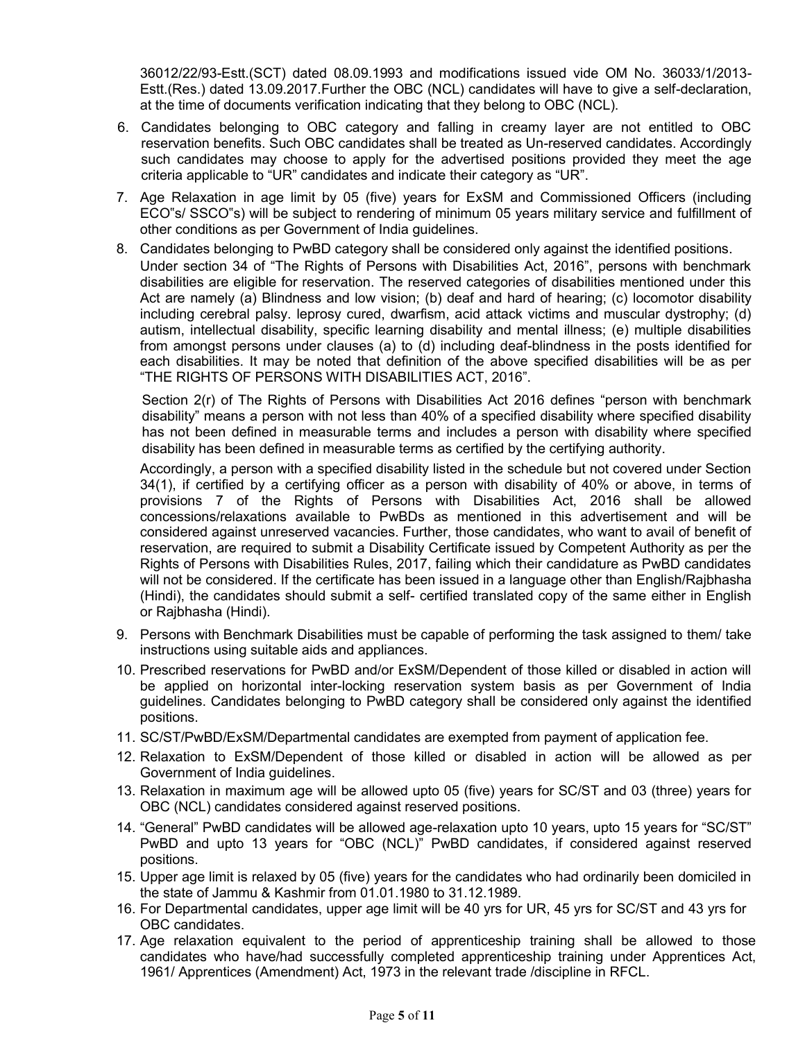36012/22/93-Estt.(SCT) dated 08.09.1993 and modifications issued vide OM No. 36033/1/2013- Estt.(Res.) dated 13.09.2017.Further the OBC (NCL) candidates will have to give a self-declaration, at the time of documents verification indicating that they belong to OBC (NCL).

- 6. Candidates belonging to OBC category and falling in creamy layer are not entitled to OBC reservation benefits. Such OBC candidates shall be treated as Un-reserved candidates. Accordingly such candidates may choose to apply for the advertised positions provided they meet the age criteria applicable to "UR" candidates and indicate their category as "UR".
- 7. Age Relaxation in age limit by 05 (five) years for ExSM and Commissioned Officers (including ECO"s/ SSCO"s) will be subject to rendering of minimum 05 years military service and fulfillment of other conditions as per Government of India guidelines.
- 8. Candidates belonging to PwBD category shall be considered only against the identified positions. Under section 34 of "The Rights of Persons with Disabilities Act, 2016", persons with benchmark disabilities are eligible for reservation. The reserved categories of disabilities mentioned under this Act are namely (a) Blindness and low vision; (b) deaf and hard of hearing; (c) locomotor disability including cerebral palsy. leprosy cured, dwarfism, acid attack victims and muscular dystrophy; (d) autism, intellectual disability, specific learning disability and mental illness; (e) multiple disabilities from amongst persons under clauses (a) to (d) including deaf-blindness in the posts identified for each disabilities. It may be noted that definition of the above specified disabilities will be as per "THE RIGHTS OF PERSONS WITH DISABILITIES ACT, 2016".

Section 2(r) of The Rights of Persons with Disabilities Act 2016 defines "person with benchmark disability" means a person with not less than 40% of a specified disability where specified disability has not been defined in measurable terms and includes a person with disability where specified disability has been defined in measurable terms as certified by the certifying authority.

Accordingly, a person with a specified disability listed in the schedule but not covered under Section 34(1), if certified by a certifying officer as a person with disability of 40% or above, in terms of provisions 7 of the Rights of Persons with Disabilities Act, 2016 shall be allowed concessions/relaxations available to PwBDs as mentioned in this advertisement and will be considered against unreserved vacancies. Further, those candidates, who want to avail of benefit of reservation, are required to submit a Disability Certificate issued by Competent Authority as per the Rights of Persons with Disabilities Rules, 2017, failing which their candidature as PwBD candidates will not be considered. If the certificate has been issued in a language other than English/Rajbhasha (Hindi), the candidates should submit a self- certified translated copy of the same either in English or Rajbhasha (Hindi).

- 9. Persons with Benchmark Disabilities must be capable of performing the task assigned to them/ take instructions using suitable aids and appliances.
- 10. Prescribed reservations for PwBD and/or ExSM/Dependent of those killed or disabled in action will be applied on horizontal inter-locking reservation system basis as per Government of India guidelines. Candidates belonging to PwBD category shall be considered only against the identified positions.
- 11. SC/ST/PwBD/ExSM/Departmental candidates are exempted from payment of application fee.
- 12. Relaxation to ExSM/Dependent of those killed or disabled in action will be allowed as per Government of India guidelines.
- 13. Relaxation in maximum age will be allowed upto 05 (five) years for SC/ST and 03 (three) years for OBC (NCL) candidates considered against reserved positions.
- 14. "General" PwBD candidates will be allowed age-relaxation upto 10 years, upto 15 years for "SC/ST" PwBD and upto 13 years for "OBC (NCL)" PwBD candidates, if considered against reserved positions.
- 15. Upper age limit is relaxed by 05 (five) years for the candidates who had ordinarily been domiciled in the state of Jammu & Kashmir from 01.01.1980 to 31.12.1989.
- 16. For Departmental candidates, upper age limit will be 40 yrs for UR, 45 yrs for SC/ST and 43 yrs for OBC candidates.
- 17. Age relaxation equivalent to the period of apprenticeship training shall be allowed to those candidates who have/had successfully completed apprenticeship training under Apprentices Act, 1961/ Apprentices (Amendment) Act, 1973 in the relevant trade /discipline in RFCL.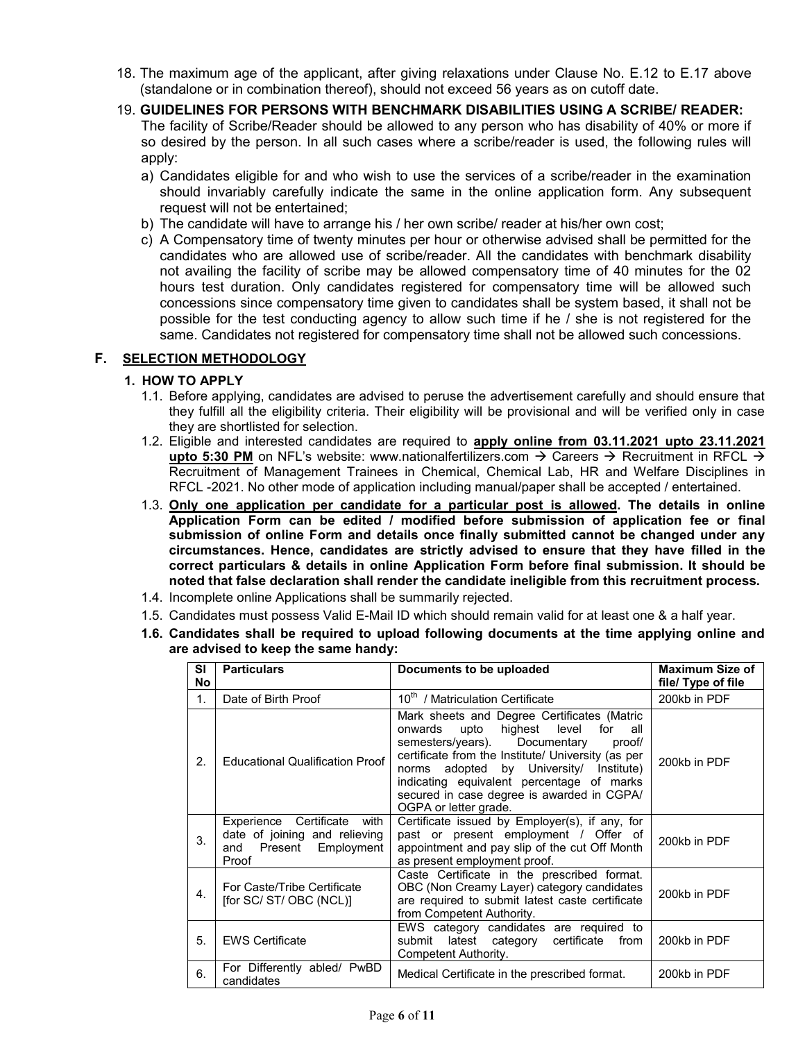- 18. The maximum age of the applicant, after giving relaxations under Clause No. E.12 to E.17 above (standalone or in combination thereof), should not exceed 56 years as on cutoff date.
- 19. **GUIDELINES FOR PERSONS WITH BENCHMARK DISABILITIES USING A SCRIBE/ READER:** The facility of Scribe/Reader should be allowed to any person who has disability of 40% or more if so desired by the person. In all such cases where a scribe/reader is used, the following rules will apply:
	- a) Candidates eligible for and who wish to use the services of a scribe/reader in the examination should invariably carefully indicate the same in the online application form. Any subsequent request will not be entertained;
	- b) The candidate will have to arrange his / her own scribe/ reader at his/her own cost;
	- c) A Compensatory time of twenty minutes per hour or otherwise advised shall be permitted for the candidates who are allowed use of scribe/reader. All the candidates with benchmark disability not availing the facility of scribe may be allowed compensatory time of 40 minutes for the 02 hours test duration. Only candidates registered for compensatory time will be allowed such concessions since compensatory time given to candidates shall be system based, it shall not be possible for the test conducting agency to allow such time if he / she is not registered for the same. Candidates not registered for compensatory time shall not be allowed such concessions.

## **F. SELECTION METHODOLOGY**

## **1. HOW TO APPLY**

- 1.1. Before applying, candidates are advised to peruse the advertisement carefully and should ensure that they fulfill all the eligibility criteria. Their eligibility will be provisional and will be verified only in case they are shortlisted for selection.
- 1.2. Eligible and interested candidates are required to **apply online from 03.11.2021 upto 23.11.2021 upto 5:30 PM** on NFL's website: www.nationalfertilizers.com  $\rightarrow$  Careers  $\rightarrow$  Recruitment in RFCL  $\rightarrow$ Recruitment of Management Trainees in Chemical, Chemical Lab, HR and Welfare Disciplines in RFCL -2021. No other mode of application including manual/paper shall be accepted / entertained.
- 1.3. **Only one application per candidate for a particular post is allowed. The details in online Application Form can be edited / modified before submission of application fee or final submission of online Form and details once finally submitted cannot be changed under any circumstances. Hence, candidates are strictly advised to ensure that they have filled in the correct particulars & details in online Application Form before final submission. It should be noted that false declaration shall render the candidate ineligible from this recruitment process.**
- 1.4. Incomplete online Applications shall be summarily rejected.
- 1.5. Candidates must possess Valid E-Mail ID which should remain valid for at least one & a half year.
- **1.6. Candidates shall be required to upload following documents at the time applying online and are advised to keep the same handy:**

| <b>SI</b><br><b>No</b> | <b>Particulars</b>                                                                                       | Documents to be uploaded                                                                                                                                                                                                                                                                                                                                         | <b>Maximum Size of</b><br>file/ Type of file |
|------------------------|----------------------------------------------------------------------------------------------------------|------------------------------------------------------------------------------------------------------------------------------------------------------------------------------------------------------------------------------------------------------------------------------------------------------------------------------------------------------------------|----------------------------------------------|
| 1 <sub>1</sub>         | Date of Birth Proof                                                                                      | 10 <sup>th</sup> / Matriculation Certificate                                                                                                                                                                                                                                                                                                                     | 200kb in PDF                                 |
| 2.                     | <b>Educational Qualification Proof</b>                                                                   | Mark sheets and Degree Certificates (Matric<br>highest level<br>for<br>onwards upto<br>all<br>semesters/years).<br>Documentary<br>proof/<br>certificate from the Institute/ University (as per<br>adopted by University/ Institute)<br>norms<br>indicating equivalent percentage of marks<br>secured in case degree is awarded in CGPA/<br>OGPA or letter grade. | 200kb in PDF                                 |
| 3 <sub>1</sub>         | Certificate<br>with<br>Experience<br>date of joining and relieving<br>Present Employment<br>and<br>Proof | Certificate issued by Employer(s), if any, for<br>past or present employment / Offer of<br>appointment and pay slip of the cut Off Month<br>as present employment proof.                                                                                                                                                                                         | 200kb in PDF                                 |
| $\mathbf{4}$ .         | For Caste/Tribe Certificate<br>[for SC/ ST/ OBC (NCL)]                                                   | Caste Certificate in the prescribed format.<br>OBC (Non Creamy Layer) category candidates<br>are required to submit latest caste certificate<br>from Competent Authority.                                                                                                                                                                                        | 200kb in PDF                                 |
| 5.                     | <b>EWS Certificate</b>                                                                                   | EWS category candidates are required to<br>latest category certificate<br>submit<br>from<br>Competent Authority.                                                                                                                                                                                                                                                 | 200kb in PDF                                 |
| 6.                     | For Differently abled/ PwBD<br>candidates                                                                | Medical Certificate in the prescribed format.                                                                                                                                                                                                                                                                                                                    | 200kb in PDF                                 |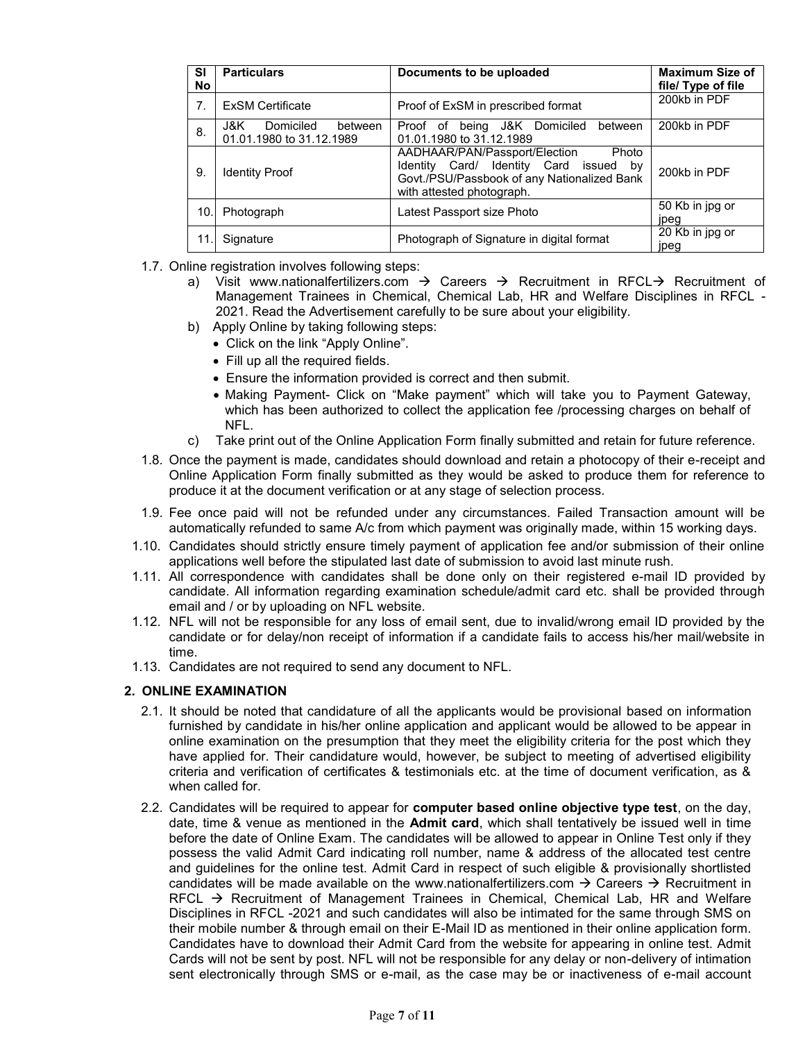| <b>SI</b><br>No | <b>Particulars</b>                                        | Documents to be uploaded                                                                                                                                        | <b>Maximum Size of</b><br>file/ Type of file |
|-----------------|-----------------------------------------------------------|-----------------------------------------------------------------------------------------------------------------------------------------------------------------|----------------------------------------------|
| 7.              | <b>ExSM Certificate</b>                                   | Proof of ExSM in prescribed format                                                                                                                              | 200kb in PDF                                 |
| 8.              | Domiciled<br>J&K L<br>between<br>01.01.1980 to 31.12.1989 | Proof of being J&K Domiciled<br>between<br>01.01.1980 to 31.12.1989                                                                                             | 200kb in PDF                                 |
| 9.              | <b>Identity Proof</b>                                     | Photo<br>AADHAAR/PAN/Passport/Election<br>Identity Card/ Identity Card issued<br>by<br>Govt./PSU/Passbook of any Nationalized Bank<br>with attested photograph. | 200kb in PDF                                 |
| 10.             | Photograph                                                | Latest Passport size Photo                                                                                                                                      | 50 Kb in jpg or<br>jpeg                      |
| 11              | Signature                                                 | Photograph of Signature in digital format                                                                                                                       | 20 Kb in jpg or<br>jpeg                      |

- 1.7. Online registration involves following steps:
	- a) Visit www.nationalfertilizers.com  $\rightarrow$  Careers  $\rightarrow$  Recruitment in RFCL $\rightarrow$  Recruitment of Management Trainees in Chemical, Chemical Lab, HR and Welfare Disciplines in RFCL - 2021. Read the Advertisement carefully to be sure about your eligibility.
	- b) Apply Online by taking following steps:
		- Click on the link "Apply Online".
		- Fill up all the required fields.
		- Ensure the information provided is correct and then submit.
		- Making Payment- Click on "Make payment" which will take you to Payment Gateway, which has been authorized to collect the application fee /processing charges on behalf of NFL.
	- c) Take print out of the Online Application Form finally submitted and retain for future reference.
- 1.8. Once the payment is made, candidates should download and retain a photocopy of their e-receipt and Online Application Form finally submitted as they would be asked to produce them for reference to produce it at the document verification or at any stage of selection process.
- 1.9. Fee once paid will not be refunded under any circumstances. Failed Transaction amount will be automatically refunded to same A/c from which payment was originally made, within 15 working days.
- 1.10. Candidates should strictly ensure timely payment of application fee and/or submission of their online applications well before the stipulated last date of submission to avoid last minute rush.
- 1.11. All correspondence with candidates shall be done only on their registered e-mail ID provided by candidate. All information regarding examination schedule/admit card etc. shall be provided through email and / or by uploading on NFL website.
- 1.12. NFL will not be responsible for any loss of email sent, due to invalid/wrong email ID provided by the candidate or for delay/non receipt of information if a candidate fails to access his/her mail/website in time.
- 1.13. Candidates are not required to send any document to NFL.

#### **2. ONLINE EXAMINATION**

- 2.1. It should be noted that candidature of all the applicants would be provisional based on information furnished by candidate in his/her online application and applicant would be allowed to be appear in online examination on the presumption that they meet the eligibility criteria for the post which they have applied for. Their candidature would, however, be subject to meeting of advertised eligibility criteria and verification of certificates & testimonials etc. at the time of document verification, as & when called for.
- 2.2. Candidates will be required to appear for **computer based online objective type test**, on the day, date, time & venue as mentioned in the **Admit card**, which shall tentatively be issued well in time before the date of Online Exam. The candidates will be allowed to appear in Online Test only if they possess the valid Admit Card indicating roll number, name & address of the allocated test centre and guidelines for the online test. Admit Card in respect of such eligible & provisionally shortlisted candidates will be made available on the www.nationalfertilizers.com  $\rightarrow$  Careers  $\rightarrow$  Recruitment in RFCL  $\rightarrow$  Recruitment of Management Trainees in Chemical, Chemical Lab, HR and Welfare Disciplines in RFCL -2021 and such candidates will also be intimated for the same through SMS on their mobile number & through email on their E-Mail ID as mentioned in their online application form. Candidates have to download their Admit Card from the website for appearing in online test. Admit Cards will not be sent by post. NFL will not be responsible for any delay or non-delivery of intimation sent electronically through SMS or e-mail, as the case may be or inactiveness of e-mail account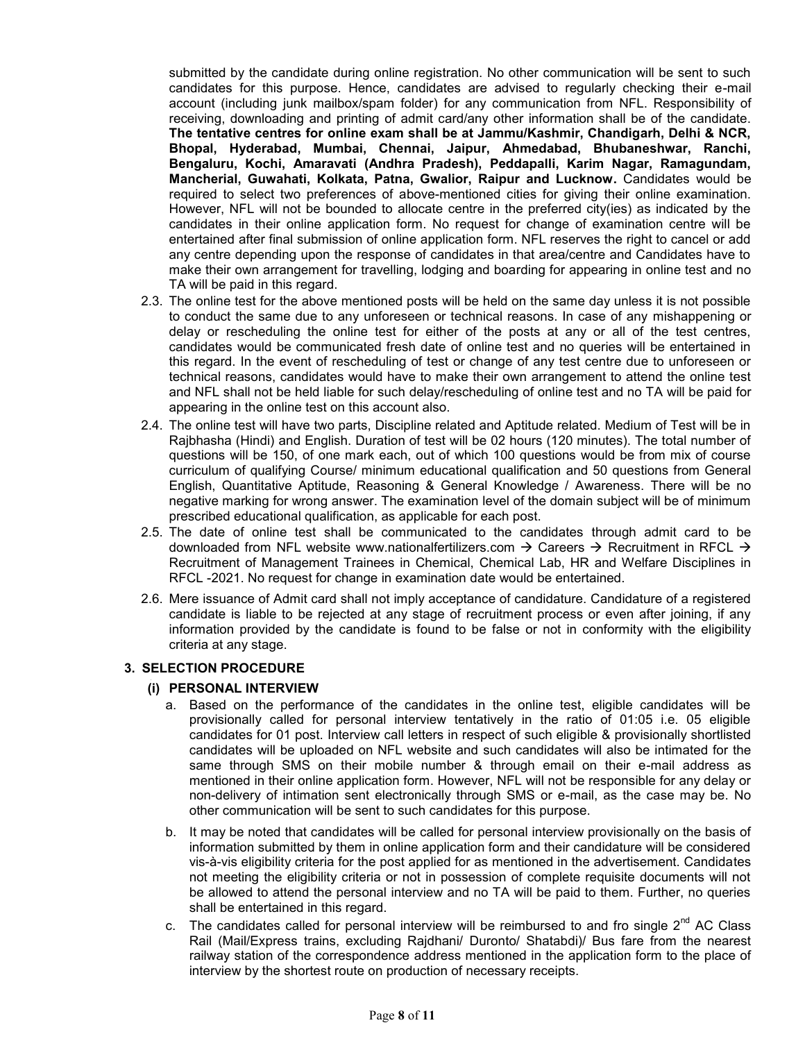submitted by the candidate during online registration. No other communication will be sent to such candidates for this purpose. Hence, candidates are advised to regularly checking their e-mail account (including junk mailbox/spam folder) for any communication from NFL. Responsibility of receiving, downloading and printing of admit card/any other information shall be of the candidate. **The tentative centres for online exam shall be at Jammu/Kashmir, Chandigarh, Delhi & NCR, Bhopal, Hyderabad, Mumbai, Chennai, Jaipur, Ahmedabad, Bhubaneshwar, Ranchi, Bengaluru, Kochi, Amaravati (Andhra Pradesh), Peddapalli, Karim Nagar, Ramagundam, Mancherial, Guwahati, Kolkata, Patna, Gwalior, Raipur and Lucknow.** Candidates would be required to select two preferences of above-mentioned cities for giving their online examination. However, NFL will not be bounded to allocate centre in the preferred city(ies) as indicated by the candidates in their online application form. No request for change of examination centre will be entertained after final submission of online application form. NFL reserves the right to cancel or add any centre depending upon the response of candidates in that area/centre and Candidates have to make their own arrangement for travelling, lodging and boarding for appearing in online test and no TA will be paid in this regard.

- 2.3. The online test for the above mentioned posts will be held on the same day unless it is not possible to conduct the same due to any unforeseen or technical reasons. In case of any mishappening or delay or rescheduling the online test for either of the posts at any or all of the test centres, candidates would be communicated fresh date of online test and no queries will be entertained in this regard. In the event of rescheduling of test or change of any test centre due to unforeseen or technical reasons, candidates would have to make their own arrangement to attend the online test and NFL shall not be held liable for such delay/rescheduling of online test and no TA will be paid for appearing in the online test on this account also.
- 2.4. The online test will have two parts, Discipline related and Aptitude related. Medium of Test will be in Rajbhasha (Hindi) and English. Duration of test will be 02 hours (120 minutes). The total number of questions will be 150, of one mark each, out of which 100 questions would be from mix of course curriculum of qualifying Course/ minimum educational qualification and 50 questions from General English, Quantitative Aptitude, Reasoning & General Knowledge / Awareness. There will be no negative marking for wrong answer. The examination level of the domain subject will be of minimum prescribed educational qualification, as applicable for each post.
- 2.5. The date of online test shall be communicated to the candidates through admit card to be downloaded from NFL website www.nationalfertilizers.com  $\rightarrow$  Careers  $\rightarrow$  Recruitment in RFCL  $\rightarrow$ Recruitment of Management Trainees in Chemical, Chemical Lab, HR and Welfare Disciplines in RFCL -2021. No request for change in examination date would be entertained.
- 2.6. Mere issuance of Admit card shall not imply acceptance of candidature. Candidature of a registered candidate is liable to be rejected at any stage of recruitment process or even after joining, if any information provided by the candidate is found to be false or not in conformity with the eligibility criteria at any stage.

#### **3. SELECTION PROCEDURE**

#### **(i) PERSONAL INTERVIEW**

- a. Based on the performance of the candidates in the online test, eligible candidates will be provisionally called for personal interview tentatively in the ratio of 01:05 i.e. 05 eligible candidates for 01 post. Interview call letters in respect of such eligible & provisionally shortlisted candidates will be uploaded on NFL website and such candidates will also be intimated for the same through SMS on their mobile number & through email on their e-mail address as mentioned in their online application form. However, NFL will not be responsible for any delay or non-delivery of intimation sent electronically through SMS or e-mail, as the case may be. No other communication will be sent to such candidates for this purpose.
- b. It may be noted that candidates will be called for personal interview provisionally on the basis of information submitted by them in online application form and their candidature will be considered vis-à-vis eligibility criteria for the post applied for as mentioned in the advertisement. Candidates not meeting the eligibility criteria or not in possession of complete requisite documents will not be allowed to attend the personal interview and no TA will be paid to them. Further, no queries shall be entertained in this regard.
- c. The candidates called for personal interview will be reimbursed to and fro single  $2^{nd}$  AC Class Rail (Mail/Express trains, excluding Rajdhani/ Duronto/ Shatabdi)/ Bus fare from the nearest railway station of the correspondence address mentioned in the application form to the place of interview by the shortest route on production of necessary receipts.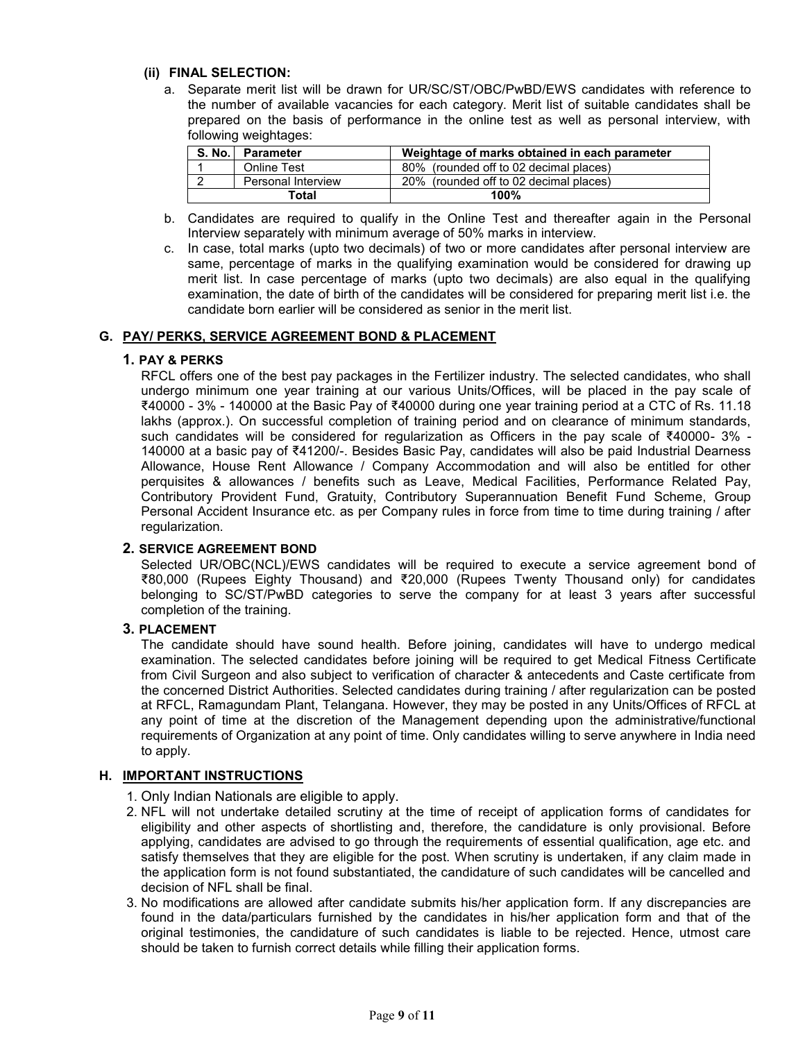#### **(ii) FINAL SELECTION:**

a. Separate merit list will be drawn for UR/SC/ST/OBC/PwBD/EWS candidates with reference to the number of available vacancies for each category. Merit list of suitable candidates shall be prepared on the basis of performance in the online test as well as personal interview, with following weightages:

| <b>S. No.</b> I | <b>Parameter</b>   | Weightage of marks obtained in each parameter |
|-----------------|--------------------|-----------------------------------------------|
|                 | <b>Online Test</b> | 80% (rounded off to 02 decimal places)        |
|                 | Personal Interview | 20% (rounded off to 02 decimal places)        |
| Total           |                    | 100%                                          |

- b. Candidates are required to qualify in the Online Test and thereafter again in the Personal Interview separately with minimum average of 50% marks in interview.
- c. In case, total marks (upto two decimals) of two or more candidates after personal interview are same, percentage of marks in the qualifying examination would be considered for drawing up merit list. In case percentage of marks (upto two decimals) are also equal in the qualifying examination, the date of birth of the candidates will be considered for preparing merit list i.e. the candidate born earlier will be considered as senior in the merit list.

## **G. PAY/ PERKS, SERVICE AGREEMENT BOND & PLACEMENT**

#### **1. PAY & PERKS**

RFCL offers one of the best pay packages in the Fertilizer industry. The selected candidates, who shall undergo minimum one year training at our various Units/Offices, will be placed in the pay scale of ₹40000 - 3% - 140000 at the Basic Pay of ₹40000 during one year training period at a CTC of Rs. 11.18 lakhs (approx.). On successful completion of training period and on clearance of minimum standards, such candidates will be considered for regularization as Officers in the pay scale of ₹40000- 3% - 140000 at a basic pay of ₹41200/-. Besides Basic Pay, candidates will also be paid Industrial Dearness Allowance, House Rent Allowance / Company Accommodation and will also be entitled for other perquisites & allowances / benefits such as Leave, Medical Facilities, Performance Related Pay, Contributory Provident Fund, Gratuity, Contributory Superannuation Benefit Fund Scheme, Group Personal Accident Insurance etc. as per Company rules in force from time to time during training / after regularization.

## **2. SERVICE AGREEMENT BOND**

Selected UR/OBC(NCL)/EWS candidates will be required to execute a service agreement bond of ₹80,000 (Rupees Eighty Thousand) and ₹20,000 (Rupees Twenty Thousand only) for candidates belonging to SC/ST/PwBD categories to serve the company for at least 3 years after successful completion of the training.

## **3. PLACEMENT**

The candidate should have sound health. Before joining, candidates will have to undergo medical examination. The selected candidates before joining will be required to get Medical Fitness Certificate from Civil Surgeon and also subject to verification of character & antecedents and Caste certificate from the concerned District Authorities. Selected candidates during training / after regularization can be posted at RFCL, Ramagundam Plant, Telangana. However, they may be posted in any Units/Offices of RFCL at any point of time at the discretion of the Management depending upon the administrative/functional requirements of Organization at any point of time. Only candidates willing to serve anywhere in India need to apply.

#### **H. IMPORTANT INSTRUCTIONS**

- 1. Only Indian Nationals are eligible to apply.
- 2. NFL will not undertake detailed scrutiny at the time of receipt of application forms of candidates for eligibility and other aspects of shortlisting and, therefore, the candidature is only provisional. Before applying, candidates are advised to go through the requirements of essential qualification, age etc. and satisfy themselves that they are eligible for the post. When scrutiny is undertaken, if any claim made in the application form is not found substantiated, the candidature of such candidates will be cancelled and decision of NFL shall be final.
- 3. No modifications are allowed after candidate submits his/her application form. If any discrepancies are found in the data/particulars furnished by the candidates in his/her application form and that of the original testimonies, the candidature of such candidates is liable to be rejected. Hence, utmost care should be taken to furnish correct details while filling their application forms.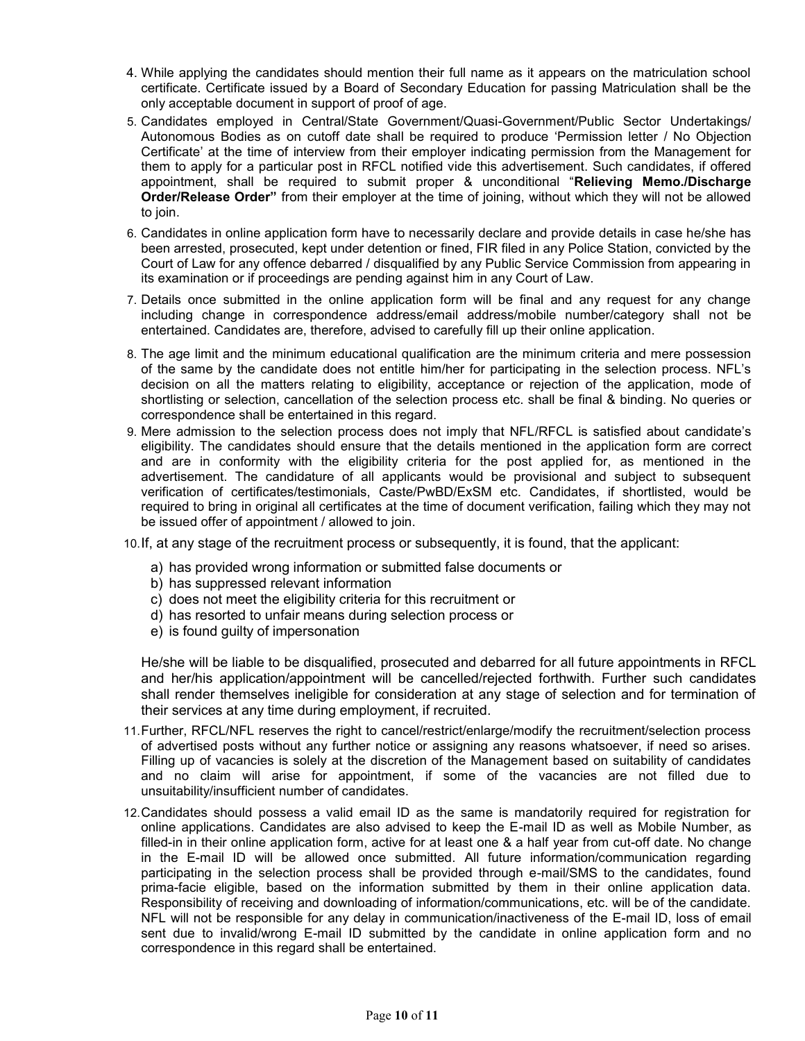- 4. While applying the candidates should mention their full name as it appears on the matriculation school certificate. Certificate issued by a Board of Secondary Education for passing Matriculation shall be the only acceptable document in support of proof of age.
- 5. Candidates employed in Central/State Government/Quasi-Government/Public Sector Undertakings/ Autonomous Bodies as on cutoff date shall be required to produce "Permission letter / No Objection Certificate" at the time of interview from their employer indicating permission from the Management for them to apply for a particular post in RFCL notified vide this advertisement. Such candidates, if offered appointment, shall be required to submit proper & unconditional "**Relieving Memo./Discharge Order/Release Order"** from their employer at the time of joining, without which they will not be allowed to join.
- 6. Candidates in online application form have to necessarily declare and provide details in case he/she has been arrested, prosecuted, kept under detention or fined, FIR filed in any Police Station, convicted by the Court of Law for any offence debarred / disqualified by any Public Service Commission from appearing in its examination or if proceedings are pending against him in any Court of Law.
- 7. Details once submitted in the online application form will be final and any request for any change including change in correspondence address/email address/mobile number/category shall not be entertained. Candidates are, therefore, advised to carefully fill up their online application.
- 8. The age limit and the minimum educational qualification are the minimum criteria and mere possession of the same by the candidate does not entitle him/her for participating in the selection process. NFL"s decision on all the matters relating to eligibility, acceptance or rejection of the application, mode of shortlisting or selection, cancellation of the selection process etc. shall be final & binding. No queries or correspondence shall be entertained in this regard.
- 9. Mere admission to the selection process does not imply that NFL/RFCL is satisfied about candidate"s eligibility. The candidates should ensure that the details mentioned in the application form are correct and are in conformity with the eligibility criteria for the post applied for, as mentioned in the advertisement. The candidature of all applicants would be provisional and subject to subsequent verification of certificates/testimonials, Caste/PwBD/ExSM etc. Candidates, if shortlisted, would be required to bring in original all certificates at the time of document verification, failing which they may not be issued offer of appointment / allowed to join.
- 10.If, at any stage of the recruitment process or subsequently, it is found, that the applicant:
	- a) has provided wrong information or submitted false documents or
	- b) has suppressed relevant information
	- c) does not meet the eligibility criteria for this recruitment or
	- d) has resorted to unfair means during selection process or
	- e) is found guilty of impersonation

He/she will be liable to be disqualified, prosecuted and debarred for all future appointments in RFCL and her/his application/appointment will be cancelled/rejected forthwith. Further such candidates shall render themselves ineligible for consideration at any stage of selection and for termination of their services at any time during employment, if recruited.

- 11.Further, RFCL/NFL reserves the right to cancel/restrict/enlarge/modify the recruitment/selection process of advertised posts without any further notice or assigning any reasons whatsoever, if need so arises. Filling up of vacancies is solely at the discretion of the Management based on suitability of candidates and no claim will arise for appointment, if some of the vacancies are not filled due to unsuitability/insufficient number of candidates.
- 12.Candidates should possess a valid email ID as the same is mandatorily required for registration for online applications. Candidates are also advised to keep the E-mail ID as well as Mobile Number, as filled-in in their online application form, active for at least one & a half year from cut-off date. No change in the E-mail ID will be allowed once submitted. All future information/communication regarding participating in the selection process shall be provided through e-mail/SMS to the candidates, found prima-facie eligible, based on the information submitted by them in their online application data. Responsibility of receiving and downloading of information/communications, etc. will be of the candidate. NFL will not be responsible for any delay in communication/inactiveness of the E-mail ID, loss of email sent due to invalid/wrong E-mail ID submitted by the candidate in online application form and no correspondence in this regard shall be entertained.